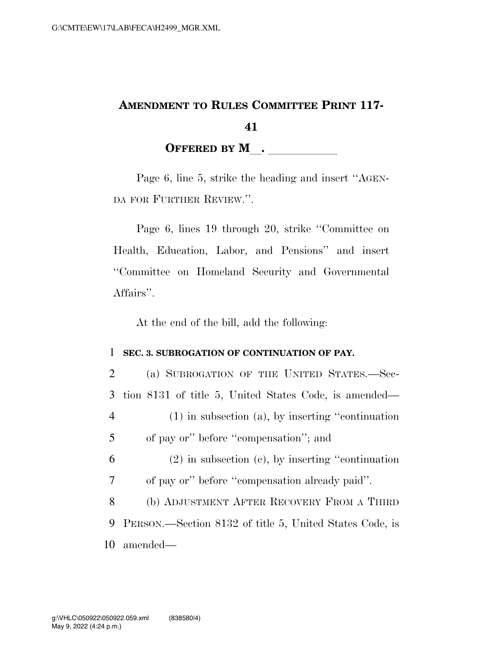## **AMENDMENT TO RULES COMMITTEE PRINT 117- 41**  OFFERED BY M<sub>\_\_</sub>. \_\_\_\_\_\_\_\_\_\_\_\_

Page 6, line 5, strike the heading and insert ''AGEN-DA FOR FURTHER REVIEW.''.

Page 6, lines 19 through 20, strike ''Committee on Health, Education, Labor, and Pensions'' and insert ''Committee on Homeland Security and Governmental Affairs''.

At the end of the bill, add the following:

## 1 **SEC. 3. SUBROGATION OF CONTINUATION OF PAY.**

| 2 | (a) SUBROGATION OF THE UNITED STATES.-Sec-              |
|---|---------------------------------------------------------|
| 3 | tion 8131 of title 5, United States Code, is amended—   |
| 4 | $(1)$ in subsection (a), by inserting "continuation"    |
| 5 | of pay or" before "compensation"; and                   |
| 6 | $(2)$ in subsection $(e)$ , by inserting "continuation" |
| 7 | of pay or" before "compensation already paid".          |
| 8 | (b) ADJUSTMENT AFTER RECOVERY FROM A THIRD              |
| 9 | PERSON.—Section 8132 of title 5, United States Code, is |
|   | 10 amended—                                             |